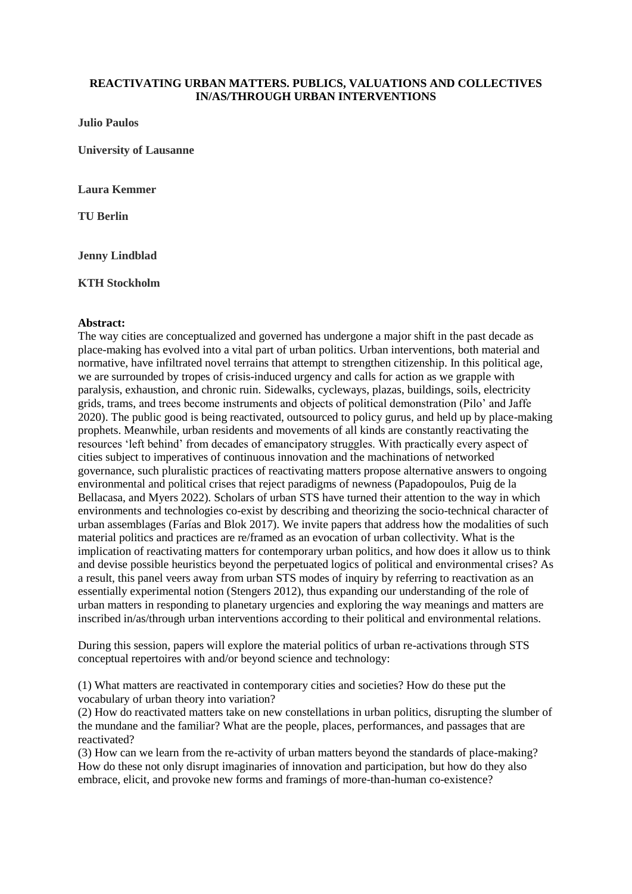## **REACTIVATING URBAN MATTERS. PUBLICS, VALUATIONS AND COLLECTIVES IN/AS/THROUGH URBAN INTERVENTIONS**

**Julio Paulos**

**University of Lausanne**

**Laura Kemmer**

**TU Berlin**

**Jenny Lindblad**

**KTH Stockholm**

## **Abstract:**

The way cities are conceptualized and governed has undergone a major shift in the past decade as place-making has evolved into a vital part of urban politics. Urban interventions, both material and normative, have infiltrated novel terrains that attempt to strengthen citizenship. In this political age, we are surrounded by tropes of crisis-induced urgency and calls for action as we grapple with paralysis, exhaustion, and chronic ruin. Sidewalks, cycleways, plazas, buildings, soils, electricity grids, trams, and trees become instruments and objects of political demonstration (Pilo' and Jaffe 2020). The public good is being reactivated, outsourced to policy gurus, and held up by place-making prophets. Meanwhile, urban residents and movements of all kinds are constantly reactivating the resources 'left behind' from decades of emancipatory struggles. With practically every aspect of cities subject to imperatives of continuous innovation and the machinations of networked governance, such pluralistic practices of reactivating matters propose alternative answers to ongoing environmental and political crises that reject paradigms of newness (Papadopoulos, Puig de la Bellacasa, and Myers 2022). Scholars of urban STS have turned their attention to the way in which environments and technologies co-exist by describing and theorizing the socio-technical character of urban assemblages (Farías and Blok 2017). We invite papers that address how the modalities of such material politics and practices are re/framed as an evocation of urban collectivity. What is the implication of reactivating matters for contemporary urban politics, and how does it allow us to think and devise possible heuristics beyond the perpetuated logics of political and environmental crises? As a result, this panel veers away from urban STS modes of inquiry by referring to reactivation as an essentially experimental notion (Stengers 2012), thus expanding our understanding of the role of urban matters in responding to planetary urgencies and exploring the way meanings and matters are inscribed in/as/through urban interventions according to their political and environmental relations.

During this session, papers will explore the material politics of urban re-activations through STS conceptual repertoires with and/or beyond science and technology:

(1) What matters are reactivated in contemporary cities and societies? How do these put the vocabulary of urban theory into variation?

(2) How do reactivated matters take on new constellations in urban politics, disrupting the slumber of the mundane and the familiar? What are the people, places, performances, and passages that are reactivated?

(3) How can we learn from the re-activity of urban matters beyond the standards of place-making? How do these not only disrupt imaginaries of innovation and participation, but how do they also embrace, elicit, and provoke new forms and framings of more-than-human co-existence?